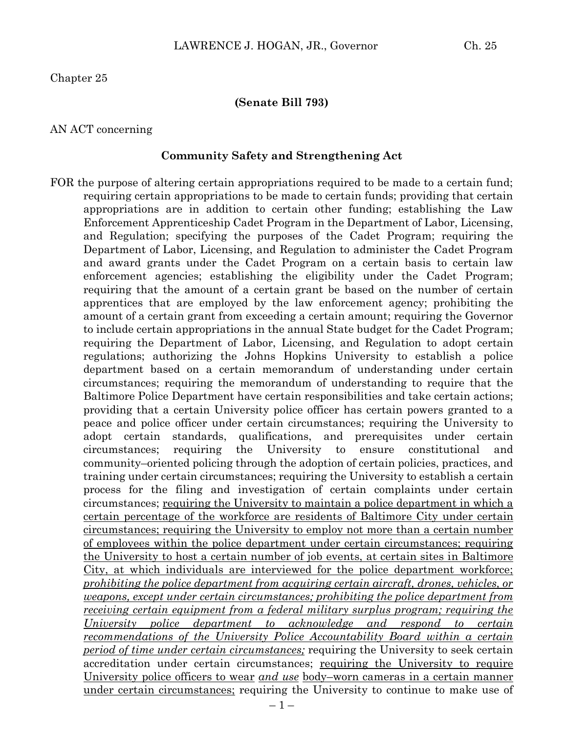#### **(Senate Bill 793)**

#### AN ACT concerning

#### **Community Safety and Strengthening Act**

FOR the purpose of altering certain appropriations required to be made to a certain fund; requiring certain appropriations to be made to certain funds; providing that certain appropriations are in addition to certain other funding; establishing the Law Enforcement Apprenticeship Cadet Program in the Department of Labor, Licensing, and Regulation; specifying the purposes of the Cadet Program; requiring the Department of Labor, Licensing, and Regulation to administer the Cadet Program and award grants under the Cadet Program on a certain basis to certain law enforcement agencies; establishing the eligibility under the Cadet Program; requiring that the amount of a certain grant be based on the number of certain apprentices that are employed by the law enforcement agency; prohibiting the amount of a certain grant from exceeding a certain amount; requiring the Governor to include certain appropriations in the annual State budget for the Cadet Program; requiring the Department of Labor, Licensing, and Regulation to adopt certain regulations; authorizing the Johns Hopkins University to establish a police department based on a certain memorandum of understanding under certain circumstances; requiring the memorandum of understanding to require that the Baltimore Police Department have certain responsibilities and take certain actions; providing that a certain University police officer has certain powers granted to a peace and police officer under certain circumstances; requiring the University to adopt certain standards, qualifications, and prerequisites under certain circumstances; requiring the University to ensure constitutional and community–oriented policing through the adoption of certain policies, practices, and training under certain circumstances; requiring the University to establish a certain process for the filing and investigation of certain complaints under certain circumstances; requiring the University to maintain a police department in which a certain percentage of the workforce are residents of Baltimore City under certain circumstances; requiring the University to employ not more than a certain number of employees within the police department under certain circumstances; requiring the University to host a certain number of job events, at certain sites in Baltimore City, at which individuals are interviewed for the police department workforce; *prohibiting the police department from acquiring certain aircraft, drones, vehicles, or weapons, except under certain circumstances; prohibiting the police department from receiving certain equipment from a federal military surplus program; requiring the University police department to acknowledge and respond to certain recommendations of the University Police Accountability Board within a certain period of time under certain circumstances;* requiring the University to seek certain accreditation under certain circumstances; requiring the University to require University police officers to wear *and use* body–worn cameras in a certain manner under certain circumstances; requiring the University to continue to make use of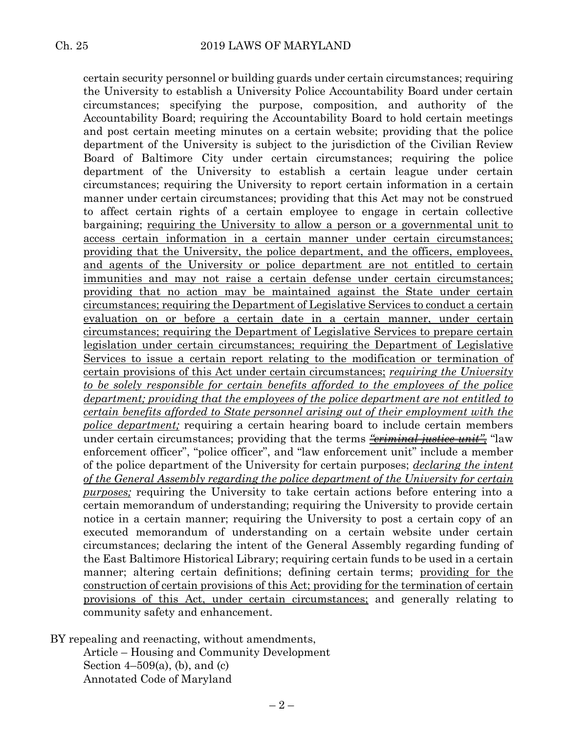certain security personnel or building guards under certain circumstances; requiring the University to establish a University Police Accountability Board under certain circumstances; specifying the purpose, composition, and authority of the Accountability Board; requiring the Accountability Board to hold certain meetings and post certain meeting minutes on a certain website; providing that the police department of the University is subject to the jurisdiction of the Civilian Review Board of Baltimore City under certain circumstances; requiring the police department of the University to establish a certain league under certain circumstances; requiring the University to report certain information in a certain manner under certain circumstances; providing that this Act may not be construed to affect certain rights of a certain employee to engage in certain collective bargaining; requiring the University to allow a person or a governmental unit to access certain information in a certain manner under certain circumstances; providing that the University, the police department, and the officers, employees, and agents of the University or police department are not entitled to certain immunities and may not raise a certain defense under certain circumstances; providing that no action may be maintained against the State under certain circumstances; requiring the Department of Legislative Services to conduct a certain evaluation on or before a certain date in a certain manner, under certain circumstances; requiring the Department of Legislative Services to prepare certain legislation under certain circumstances; requiring the Department of Legislative Services to issue a certain report relating to the modification or termination of certain provisions of this Act under certain circumstances; *requiring the University to be solely responsible for certain benefits afforded to the employees of the police department; providing that the employees of the police department are not entitled to certain benefits afforded to State personnel arising out of their employment with the police department;* requiring a certain hearing board to include certain members under certain circumstances; providing that the terms *<u>"eriminal justice unit</u>"*, "law enforcement officer", "police officer", and "law enforcement unit" include a member of the police department of the University for certain purposes; *declaring the intent of the General Assembly regarding the police department of the University for certain purposes;* requiring the University to take certain actions before entering into a certain memorandum of understanding; requiring the University to provide certain notice in a certain manner; requiring the University to post a certain copy of an executed memorandum of understanding on a certain website under certain circumstances; declaring the intent of the General Assembly regarding funding of the East Baltimore Historical Library; requiring certain funds to be used in a certain manner; altering certain definitions; defining certain terms; providing for the construction of certain provisions of this Act; providing for the termination of certain provisions of this Act, under certain circumstances; and generally relating to community safety and enhancement.

BY repealing and reenacting, without amendments,

Article – Housing and Community Development Section  $4-509(a)$ , (b), and (c) Annotated Code of Maryland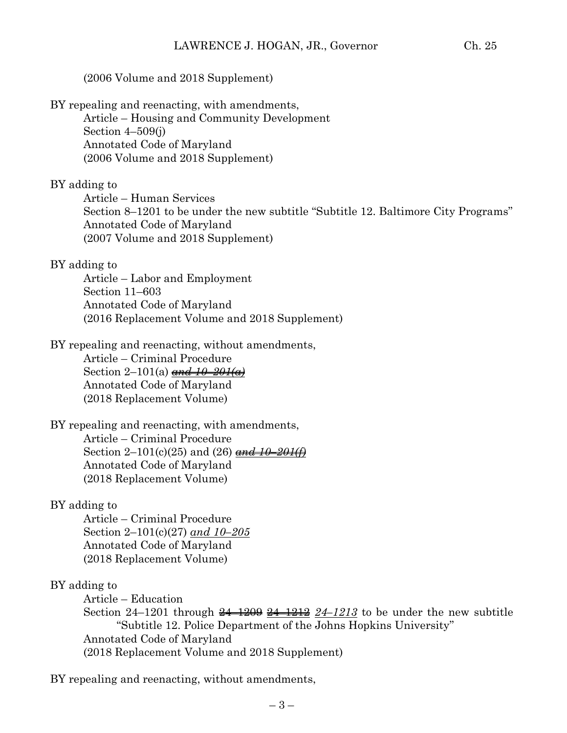### (2006 Volume and 2018 Supplement)

BY repealing and reenacting, with amendments,

Article – Housing and Community Development Section  $4-509(j)$ Annotated Code of Maryland (2006 Volume and 2018 Supplement)

#### BY adding to

Article – Human Services Section 8–1201 to be under the new subtitle "Subtitle 12. Baltimore City Programs" Annotated Code of Maryland (2007 Volume and 2018 Supplement)

#### BY adding to

Article – Labor and Employment Section 11–603 Annotated Code of Maryland (2016 Replacement Volume and 2018 Supplement)

#### BY repealing and reenacting, without amendments,

Article – Criminal Procedure Section 2–101(a) *and 10–201(a)* Annotated Code of Maryland (2018 Replacement Volume)

#### BY repealing and reenacting, with amendments, Article – Criminal Procedure

Section 2–101(c)(25) and (26) *and 10–201(f)* Annotated Code of Maryland (2018 Replacement Volume)

#### BY adding to

Article – Criminal Procedure Section 2–101(c)(27) *and 10–205* Annotated Code of Maryland (2018 Replacement Volume)

#### BY adding to

Article – Education Section 24–1201 through 24–1209 24–1212 *24–1213* to be under the new subtitle "Subtitle 12. Police Department of the Johns Hopkins University" Annotated Code of Maryland (2018 Replacement Volume and 2018 Supplement)

BY repealing and reenacting, without amendments,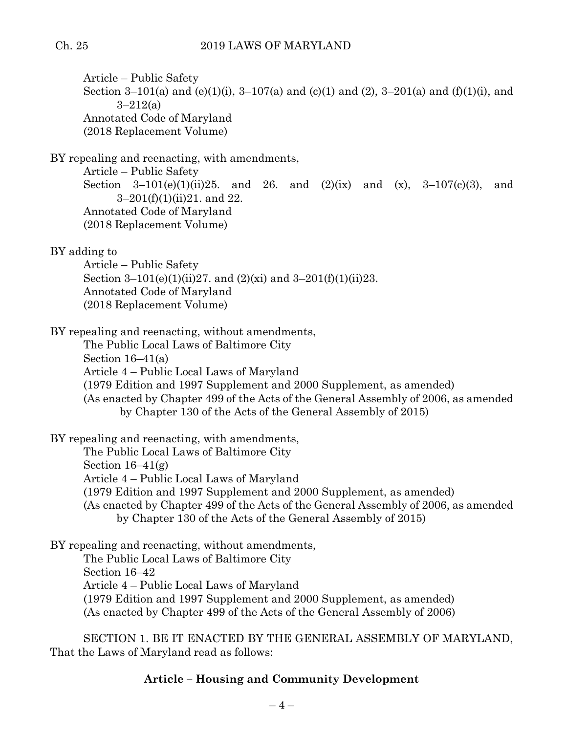Article – Public Safety Section 3–101(a) and (e)(1)(i), 3–107(a) and (c)(1) and (2), 3–201(a) and (f)(1)(i), and  $3 - 212(a)$ Annotated Code of Maryland (2018 Replacement Volume)

BY repealing and reenacting, with amendments,

Article – Public Safety Section 3–101(e)(1)(ii)25. and 26. and (2)(ix) and (x), 3–107(c)(3), and 3–201(f)(1)(ii)21. and 22. Annotated Code of Maryland (2018 Replacement Volume)

BY adding to

Article – Public Safety Section 3–101(e)(1)(ii)27. and (2)(xi) and 3–201(f)(1)(ii)23. Annotated Code of Maryland (2018 Replacement Volume)

BY repealing and reenacting, without amendments,

The Public Local Laws of Baltimore City Section 16–41(a) Article 4 – Public Local Laws of Maryland (1979 Edition and 1997 Supplement and 2000 Supplement, as amended) (As enacted by Chapter 499 of the Acts of the General Assembly of 2006, as amended by Chapter 130 of the Acts of the General Assembly of 2015)

BY repealing and reenacting, with amendments,

The Public Local Laws of Baltimore City

Section  $16-41(g)$ 

Article 4 – Public Local Laws of Maryland

(1979 Edition and 1997 Supplement and 2000 Supplement, as amended)

(As enacted by Chapter 499 of the Acts of the General Assembly of 2006, as amended by Chapter 130 of the Acts of the General Assembly of 2015)

BY repealing and reenacting, without amendments, The Public Local Laws of Baltimore City Section 16–42 Article 4 – Public Local Laws of Maryland (1979 Edition and 1997 Supplement and 2000 Supplement, as amended) (As enacted by Chapter 499 of the Acts of the General Assembly of 2006)

SECTION 1. BE IT ENACTED BY THE GENERAL ASSEMBLY OF MARYLAND, That the Laws of Maryland read as follows:

## **Article – Housing and Community Development**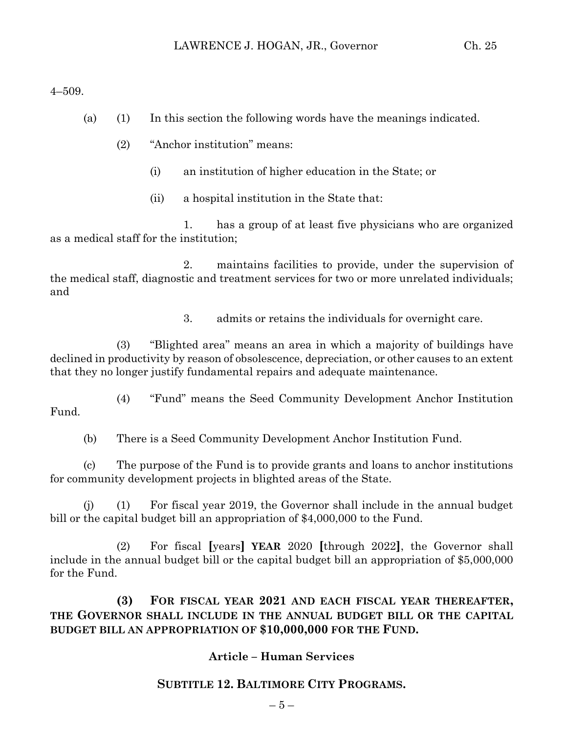4–509.

- (a) (1) In this section the following words have the meanings indicated.
	- (2) "Anchor institution" means:
		- (i) an institution of higher education in the State; or
		- (ii) a hospital institution in the State that:

1. has a group of at least five physicians who are organized as a medical staff for the institution;

2. maintains facilities to provide, under the supervision of the medical staff, diagnostic and treatment services for two or more unrelated individuals; and

3. admits or retains the individuals for overnight care.

(3) "Blighted area" means an area in which a majority of buildings have declined in productivity by reason of obsolescence, depreciation, or other causes to an extent that they no longer justify fundamental repairs and adequate maintenance.

(4) "Fund" means the Seed Community Development Anchor Institution Fund.

(b) There is a Seed Community Development Anchor Institution Fund.

(c) The purpose of the Fund is to provide grants and loans to anchor institutions for community development projects in blighted areas of the State.

(j) (1) For fiscal year 2019, the Governor shall include in the annual budget bill or the capital budget bill an appropriation of \$4,000,000 to the Fund.

(2) For fiscal **[**years**] YEAR** 2020 **[**through 2022**]**, the Governor shall include in the annual budget bill or the capital budget bill an appropriation of \$5,000,000 for the Fund.

**(3) FOR FISCAL YEAR 2021 AND EACH FISCAL YEAR THEREAFTER, THE GOVERNOR SHALL INCLUDE IN THE ANNUAL BUDGET BILL OR THE CAPITAL BUDGET BILL AN APPROPRIATION OF \$10,000,000 FOR THE FUND.**

## **Article – Human Services**

# **SUBTITLE 12. BALTIMORE CITY PROGRAMS.**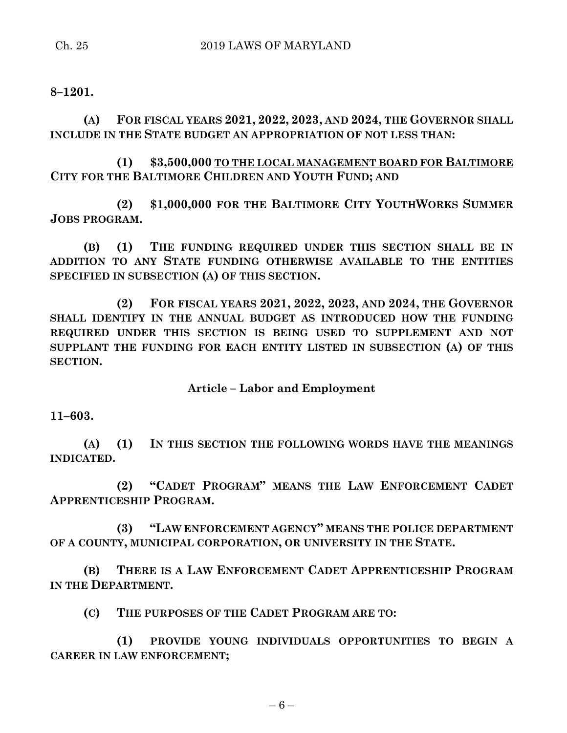**8–1201.**

**(A) FOR FISCAL YEARS 2021, 2022, 2023, AND 2024, THE GOVERNOR SHALL INCLUDE IN THE STATE BUDGET AN APPROPRIATION OF NOT LESS THAN:**

**(1) \$3,500,000 TO THE LOCAL MANAGEMENT BOARD FOR BALTIMORE CITY FOR THE BALTIMORE CHILDREN AND YOUTH FUND; AND**

**(2) \$1,000,000 FOR THE BALTIMORE CITY YOUTHWORKS SUMMER JOBS PROGRAM.**

**(B) (1) THE FUNDING REQUIRED UNDER THIS SECTION SHALL BE IN ADDITION TO ANY STATE FUNDING OTHERWISE AVAILABLE TO THE ENTITIES SPECIFIED IN SUBSECTION (A) OF THIS SECTION.**

**(2) FOR FISCAL YEARS 2021, 2022, 2023, AND 2024, THE GOVERNOR SHALL IDENTIFY IN THE ANNUAL BUDGET AS INTRODUCED HOW THE FUNDING REQUIRED UNDER THIS SECTION IS BEING USED TO SUPPLEMENT AND NOT SUPPLANT THE FUNDING FOR EACH ENTITY LISTED IN SUBSECTION (A) OF THIS SECTION.**

## **Article – Labor and Employment**

**11–603.**

**(A) (1) IN THIS SECTION THE FOLLOWING WORDS HAVE THE MEANINGS INDICATED.**

**(2) "CADET PROGRAM" MEANS THE LAW ENFORCEMENT CADET APPRENTICESHIP PROGRAM.**

**(3) "LAW ENFORCEMENT AGENCY" MEANS THE POLICE DEPARTMENT OF A COUNTY, MUNICIPAL CORPORATION, OR UNIVERSITY IN THE STATE.**

**(B) THERE IS A LAW ENFORCEMENT CADET APPRENTICESHIP PROGRAM IN THE DEPARTMENT.**

**(C) THE PURPOSES OF THE CADET PROGRAM ARE TO:**

**(1) PROVIDE YOUNG INDIVIDUALS OPPORTUNITIES TO BEGIN A CAREER IN LAW ENFORCEMENT;**

 $-6-$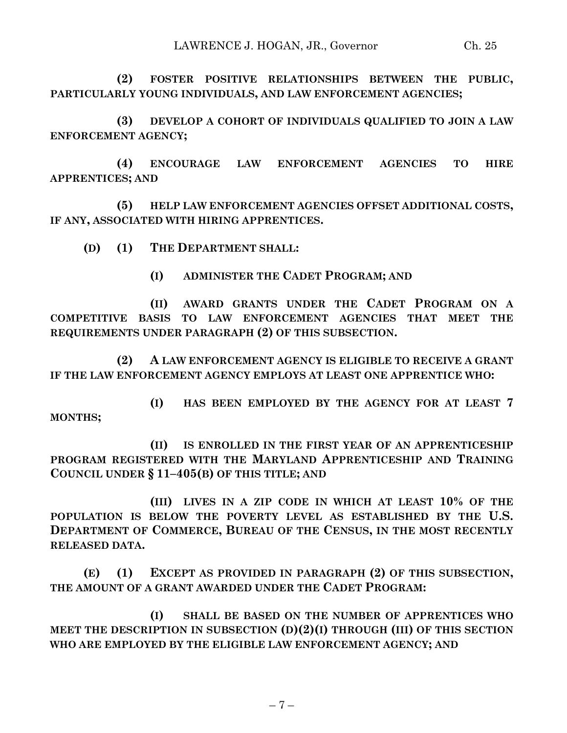**(2) FOSTER POSITIVE RELATIONSHIPS BETWEEN THE PUBLIC, PARTICULARLY YOUNG INDIVIDUALS, AND LAW ENFORCEMENT AGENCIES;**

**(3) DEVELOP A COHORT OF INDIVIDUALS QUALIFIED TO JOIN A LAW ENFORCEMENT AGENCY;**

**(4) ENCOURAGE LAW ENFORCEMENT AGENCIES TO HIRE APPRENTICES; AND**

**(5) HELP LAW ENFORCEMENT AGENCIES OFFSET ADDITIONAL COSTS, IF ANY, ASSOCIATED WITH HIRING APPRENTICES.**

**(D) (1) THE DEPARTMENT SHALL:**

**(I) ADMINISTER THE CADET PROGRAM; AND** 

**(II) AWARD GRANTS UNDER THE CADET PROGRAM ON A COMPETITIVE BASIS TO LAW ENFORCEMENT AGENCIES THAT MEET THE REQUIREMENTS UNDER PARAGRAPH (2) OF THIS SUBSECTION.**

**(2) A LAW ENFORCEMENT AGENCY IS ELIGIBLE TO RECEIVE A GRANT IF THE LAW ENFORCEMENT AGENCY EMPLOYS AT LEAST ONE APPRENTICE WHO:**

**(I) HAS BEEN EMPLOYED BY THE AGENCY FOR AT LEAST 7 MONTHS;**

**(II) IS ENROLLED IN THE FIRST YEAR OF AN APPRENTICESHIP PROGRAM REGISTERED WITH THE MARYLAND APPRENTICESHIP AND TRAINING COUNCIL UNDER § 11–405(B) OF THIS TITLE; AND**

**(III) LIVES IN A ZIP CODE IN WHICH AT LEAST 10% OF THE POPULATION IS BELOW THE POVERTY LEVEL AS ESTABLISHED BY THE U.S. DEPARTMENT OF COMMERCE, BUREAU OF THE CENSUS, IN THE MOST RECENTLY RELEASED DATA.**

**(E) (1) EXCEPT AS PROVIDED IN PARAGRAPH (2) OF THIS SUBSECTION, THE AMOUNT OF A GRANT AWARDED UNDER THE CADET PROGRAM:**

**(I) SHALL BE BASED ON THE NUMBER OF APPRENTICES WHO MEET THE DESCRIPTION IN SUBSECTION (D)(2)(I) THROUGH (III) OF THIS SECTION WHO ARE EMPLOYED BY THE ELIGIBLE LAW ENFORCEMENT AGENCY; AND**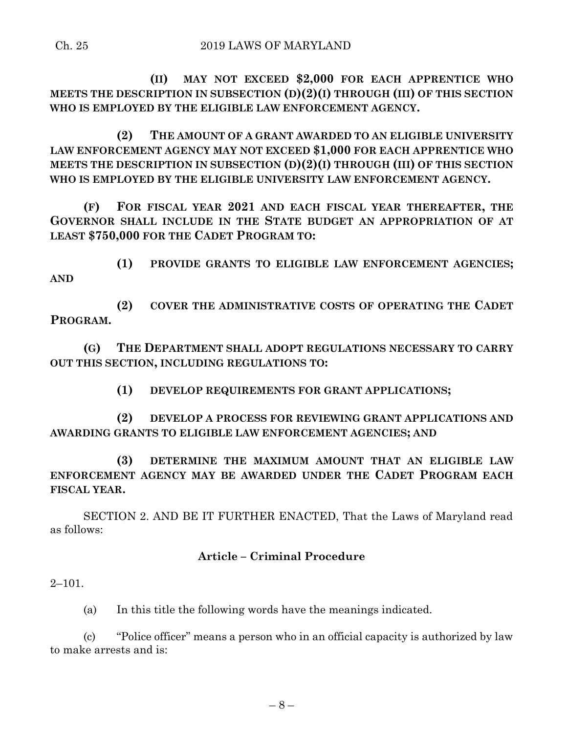**(II) MAY NOT EXCEED \$2,000 FOR EACH APPRENTICE WHO MEETS THE DESCRIPTION IN SUBSECTION (D)(2)(I) THROUGH (III) OF THIS SECTION WHO IS EMPLOYED BY THE ELIGIBLE LAW ENFORCEMENT AGENCY.**

**(2) THE AMOUNT OF A GRANT AWARDED TO AN ELIGIBLE UNIVERSITY LAW ENFORCEMENT AGENCY MAY NOT EXCEED \$1,000 FOR EACH APPRENTICE WHO MEETS THE DESCRIPTION IN SUBSECTION (D)(2)(I) THROUGH (III) OF THIS SECTION WHO IS EMPLOYED BY THE ELIGIBLE UNIVERSITY LAW ENFORCEMENT AGENCY.**

**(F) FOR FISCAL YEAR 2021 AND EACH FISCAL YEAR THEREAFTER, THE GOVERNOR SHALL INCLUDE IN THE STATE BUDGET AN APPROPRIATION OF AT LEAST \$750,000 FOR THE CADET PROGRAM TO:**

**(1) PROVIDE GRANTS TO ELIGIBLE LAW ENFORCEMENT AGENCIES; AND**

**(2) COVER THE ADMINISTRATIVE COSTS OF OPERATING THE CADET PROGRAM.**

**(G) THE DEPARTMENT SHALL ADOPT REGULATIONS NECESSARY TO CARRY OUT THIS SECTION, INCLUDING REGULATIONS TO:**

**(1) DEVELOP REQUIREMENTS FOR GRANT APPLICATIONS;**

**(2) DEVELOP A PROCESS FOR REVIEWING GRANT APPLICATIONS AND AWARDING GRANTS TO ELIGIBLE LAW ENFORCEMENT AGENCIES; AND**

**(3) DETERMINE THE MAXIMUM AMOUNT THAT AN ELIGIBLE LAW ENFORCEMENT AGENCY MAY BE AWARDED UNDER THE CADET PROGRAM EACH FISCAL YEAR.**

SECTION 2. AND BE IT FURTHER ENACTED, That the Laws of Maryland read as follows:

### **Article – Criminal Procedure**

2–101.

(a) In this title the following words have the meanings indicated.

(c) "Police officer" means a person who in an official capacity is authorized by law to make arrests and is: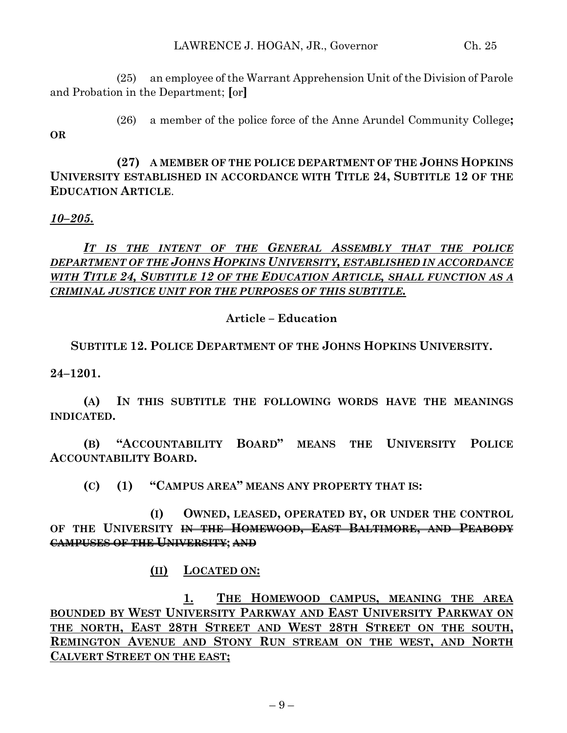(25) an employee of the Warrant Apprehension Unit of the Division of Parole and Probation in the Department; **[**or**]**

**OR**

(26) a member of the police force of the Anne Arundel Community College**;**

**(27) A MEMBER OF THE POLICE DEPARTMENT OF THE JOHNS HOPKINS UNIVERSITY ESTABLISHED IN ACCORDANCE WITH TITLE 24, SUBTITLE 12 OF THE EDUCATION ARTICLE**.

## *10–205.*

# *IT IS THE INTENT OF THE GENERAL ASSEMBLY THAT THE POLICE DEPARTMENT OF THE JOHNS HOPKINS UNIVERSITY, ESTABLISHED IN ACCORDANCE WITH TITLE 24, SUBTITLE 12 OF THE EDUCATION ARTICLE, SHALL FUNCTION AS A CRIMINAL JUSTICE UNIT FOR THE PURPOSES OF THIS SUBTITLE.*

### **Article – Education**

**SUBTITLE 12. POLICE DEPARTMENT OF THE JOHNS HOPKINS UNIVERSITY.**

**24–1201.**

**(A) IN THIS SUBTITLE THE FOLLOWING WORDS HAVE THE MEANINGS INDICATED.**

**(B) "ACCOUNTABILITY BOARD" MEANS THE UNIVERSITY POLICE ACCOUNTABILITY BOARD.**

**(C) (1) "CAMPUS AREA" MEANS ANY PROPERTY THAT IS:**

**(I) OWNED, LEASED, OPERATED BY, OR UNDER THE CONTROL OF THE UNIVERSITY IN THE HOMEWOOD, EAST BALTIMORE, AND PEABODY CAMPUSES OF THE UNIVERSITY; AND**

**(II) LOCATED ON:**

**1. THE HOMEWOOD CAMPUS, MEANING THE AREA BOUNDED BY WEST UNIVERSITY PARKWAY AND EAST UNIVERSITY PARKWAY ON THE NORTH, EAST 28TH STREET AND WEST 28TH STREET ON THE SOUTH, REMINGTON AVENUE AND STONY RUN STREAM ON THE WEST, AND NORTH CALVERT STREET ON THE EAST;**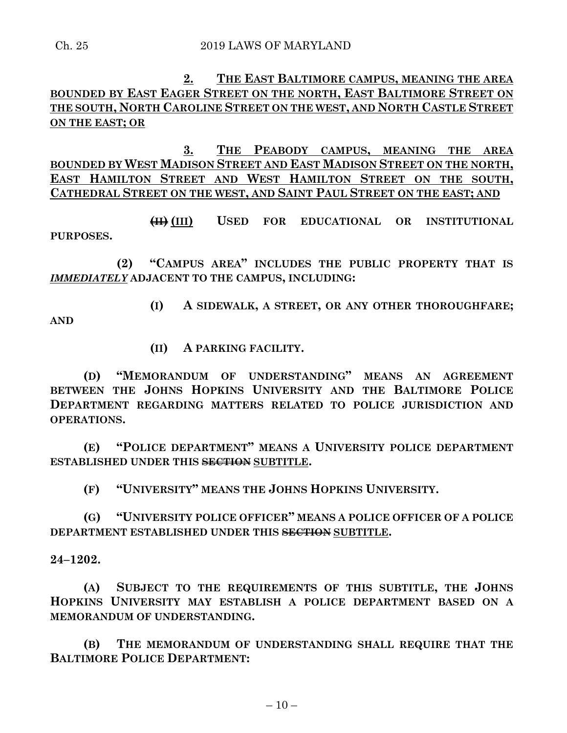# **2. THE EAST BALTIMORE CAMPUS, MEANING THE AREA BOUNDED BY EAST EAGER STREET ON THE NORTH, EAST BALTIMORE STREET ON THE SOUTH, NORTH CAROLINE STREET ON THE WEST, AND NORTH CASTLE STREET ON THE EAST; OR**

**3. THE PEABODY CAMPUS, MEANING THE AREA BOUNDED BY WEST MADISON STREET AND EAST MADISON STREET ON THE NORTH, EAST HAMILTON STREET AND WEST HAMILTON STREET ON THE SOUTH, CATHEDRAL STREET ON THE WEST, AND SAINT PAUL STREET ON THE EAST; AND**

**(II) (III) USED FOR EDUCATIONAL OR INSTITUTIONAL PURPOSES.**

**(2) "CAMPUS AREA" INCLUDES THE PUBLIC PROPERTY THAT IS**  *IMMEDIATELY* **ADJACENT TO THE CAMPUS, INCLUDING:**

**(I) A SIDEWALK, A STREET, OR ANY OTHER THOROUGHFARE; AND**

**(II) A PARKING FACILITY.**

**(D) "MEMORANDUM OF UNDERSTANDING" MEANS AN AGREEMENT BETWEEN THE JOHNS HOPKINS UNIVERSITY AND THE BALTIMORE POLICE DEPARTMENT REGARDING MATTERS RELATED TO POLICE JURISDICTION AND OPERATIONS.**

**(E) "POLICE DEPARTMENT" MEANS A UNIVERSITY POLICE DEPARTMENT ESTABLISHED UNDER THIS SECTION SUBTITLE.**

**(F) "UNIVERSITY" MEANS THE JOHNS HOPKINS UNIVERSITY.**

**(G) "UNIVERSITY POLICE OFFICER" MEANS A POLICE OFFICER OF A POLICE DEPARTMENT ESTABLISHED UNDER THIS SECTION SUBTITLE.**

**24–1202.**

**(A) SUBJECT TO THE REQUIREMENTS OF THIS SUBTITLE, THE JOHNS HOPKINS UNIVERSITY MAY ESTABLISH A POLICE DEPARTMENT BASED ON A MEMORANDUM OF UNDERSTANDING.**

**(B) THE MEMORANDUM OF UNDERSTANDING SHALL REQUIRE THAT THE BALTIMORE POLICE DEPARTMENT:**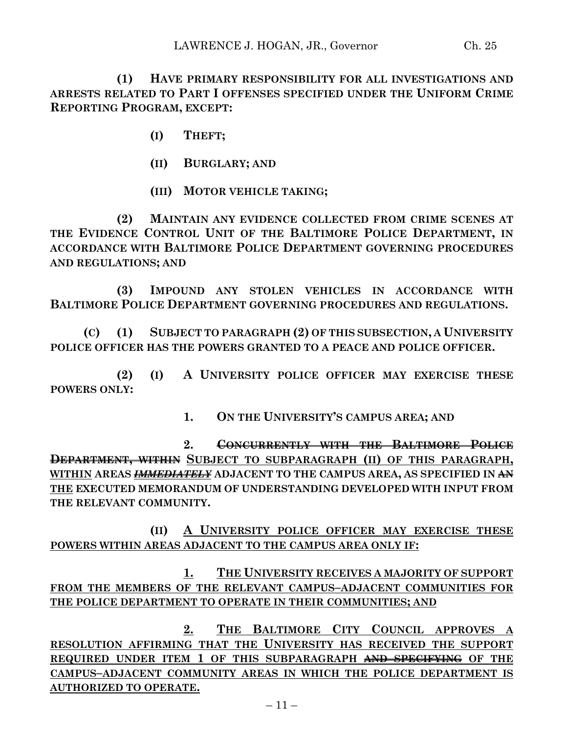**(1) HAVE PRIMARY RESPONSIBILITY FOR ALL INVESTIGATIONS AND ARRESTS RELATED TO PART I OFFENSES SPECIFIED UNDER THE UNIFORM CRIME REPORTING PROGRAM, EXCEPT:**

- **(I) THEFT;**
- **(II) BURGLARY; AND**
- **(III) MOTOR VEHICLE TAKING;**

**(2) MAINTAIN ANY EVIDENCE COLLECTED FROM CRIME SCENES AT THE EVIDENCE CONTROL UNIT OF THE BALTIMORE POLICE DEPARTMENT, IN ACCORDANCE WITH BALTIMORE POLICE DEPARTMENT GOVERNING PROCEDURES AND REGULATIONS; AND**

**(3) IMPOUND ANY STOLEN VEHICLES IN ACCORDANCE WITH BALTIMORE POLICE DEPARTMENT GOVERNING PROCEDURES AND REGULATIONS.**

**(C) (1) SUBJECT TO PARAGRAPH (2) OF THIS SUBSECTION, A UNIVERSITY POLICE OFFICER HAS THE POWERS GRANTED TO A PEACE AND POLICE OFFICER.**

**(2) (I) A UNIVERSITY POLICE OFFICER MAY EXERCISE THESE POWERS ONLY:**

**1. ON THE UNIVERSITY'S CAMPUS AREA; AND**

**2. CONCURRENTLY WITH THE BALTIMORE POLICE DEPARTMENT, WITHIN SUBJECT TO SUBPARAGRAPH (II) OF THIS PARAGRAPH, WITHIN AREAS** *IMMEDIATELY* **ADJACENT TO THE CAMPUS AREA, AS SPECIFIED IN AN THE EXECUTED MEMORANDUM OF UNDERSTANDING DEVELOPED WITH INPUT FROM THE RELEVANT COMMUNITY.**

**(II) A UNIVERSITY POLICE OFFICER MAY EXERCISE THESE POWERS WITHIN AREAS ADJACENT TO THE CAMPUS AREA ONLY IF:**

**1. THE UNIVERSITY RECEIVES A MAJORITY OF SUPPORT FROM THE MEMBERS OF THE RELEVANT CAMPUS–ADJACENT COMMUNITIES FOR THE POLICE DEPARTMENT TO OPERATE IN THEIR COMMUNITIES; AND**

**2. THE BALTIMORE CITY COUNCIL APPROVES A RESOLUTION AFFIRMING THAT THE UNIVERSITY HAS RECEIVED THE SUPPORT REQUIRED UNDER ITEM 1 OF THIS SUBPARAGRAPH AND SPECIFYING OF THE CAMPUS–ADJACENT COMMUNITY AREAS IN WHICH THE POLICE DEPARTMENT IS AUTHORIZED TO OPERATE.**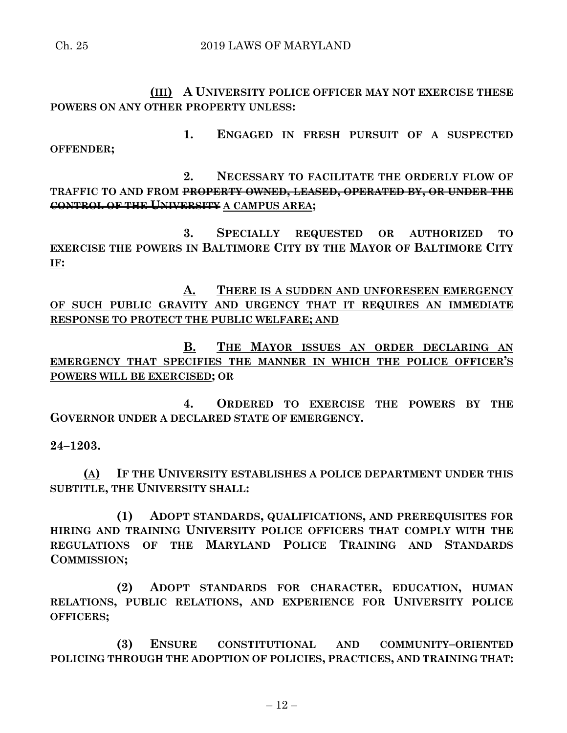**(III) A UNIVERSITY POLICE OFFICER MAY NOT EXERCISE THESE POWERS ON ANY OTHER PROPERTY UNLESS:**

**1. ENGAGED IN FRESH PURSUIT OF A SUSPECTED OFFENDER;**

**2. NECESSARY TO FACILITATE THE ORDERLY FLOW OF TRAFFIC TO AND FROM PROPERTY OWNED, LEASED, OPERATED BY, OR UNDER THE CONTROL OF THE UNIVERSITY A CAMPUS AREA;**

**3. SPECIALLY REQUESTED OR AUTHORIZED TO EXERCISE THE POWERS IN BALTIMORE CITY BY THE MAYOR OF BALTIMORE CITY IF:**

**A. THERE IS A SUDDEN AND UNFORESEEN EMERGENCY OF SUCH PUBLIC GRAVITY AND URGENCY THAT IT REQUIRES AN IMMEDIATE RESPONSE TO PROTECT THE PUBLIC WELFARE; AND**

**B. THE MAYOR ISSUES AN ORDER DECLARING AN EMERGENCY THAT SPECIFIES THE MANNER IN WHICH THE POLICE OFFICER'S POWERS WILL BE EXERCISED; OR**

**4. ORDERED TO EXERCISE THE POWERS BY THE GOVERNOR UNDER A DECLARED STATE OF EMERGENCY.**

### **24–1203.**

**(A) IF THE UNIVERSITY ESTABLISHES A POLICE DEPARTMENT UNDER THIS SUBTITLE, THE UNIVERSITY SHALL:**

**(1) ADOPT STANDARDS, QUALIFICATIONS, AND PREREQUISITES FOR HIRING AND TRAINING UNIVERSITY POLICE OFFICERS THAT COMPLY WITH THE REGULATIONS OF THE MARYLAND POLICE TRAINING AND STANDARDS COMMISSION;**

**(2) ADOPT STANDARDS FOR CHARACTER, EDUCATION, HUMAN RELATIONS, PUBLIC RELATIONS, AND EXPERIENCE FOR UNIVERSITY POLICE OFFICERS;**

**(3) ENSURE CONSTITUTIONAL AND COMMUNITY–ORIENTED POLICING THROUGH THE ADOPTION OF POLICIES, PRACTICES, AND TRAINING THAT:**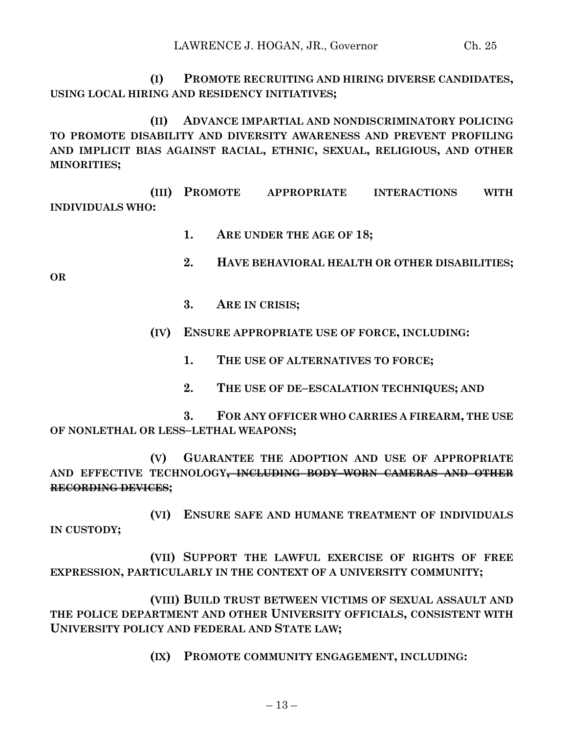**(I) PROMOTE RECRUITING AND HIRING DIVERSE CANDIDATES, USING LOCAL HIRING AND RESIDENCY INITIATIVES;**

**(II) ADVANCE IMPARTIAL AND NONDISCRIMINATORY POLICING TO PROMOTE DISABILITY AND DIVERSITY AWARENESS AND PREVENT PROFILING AND IMPLICIT BIAS AGAINST RACIAL, ETHNIC, SEXUAL, RELIGIOUS, AND OTHER MINORITIES;**

**(III) PROMOTE APPROPRIATE INTERACTIONS WITH INDIVIDUALS WHO:**

- **1. ARE UNDER THE AGE OF 18;**
- **2. HAVE BEHAVIORAL HEALTH OR OTHER DISABILITIES;**

**OR**

- **3. ARE IN CRISIS;**
- **(IV) ENSURE APPROPRIATE USE OF FORCE, INCLUDING:**
	- **1. THE USE OF ALTERNATIVES TO FORCE;**
	- **2. THE USE OF DE–ESCALATION TECHNIQUES; AND**

**3. FOR ANY OFFICER WHO CARRIES A FIREARM, THE USE OF NONLETHAL OR LESS–LETHAL WEAPONS;**

**(V) GUARANTEE THE ADOPTION AND USE OF APPROPRIATE AND EFFECTIVE TECHNOLOGY, INCLUDING BODY–WORN CAMERAS AND OTHER RECORDING DEVICES;**

**(VI) ENSURE SAFE AND HUMANE TREATMENT OF INDIVIDUALS IN CUSTODY;**

**(VII) SUPPORT THE LAWFUL EXERCISE OF RIGHTS OF FREE EXPRESSION, PARTICULARLY IN THE CONTEXT OF A UNIVERSITY COMMUNITY;**

**(VIII) BUILD TRUST BETWEEN VICTIMS OF SEXUAL ASSAULT AND THE POLICE DEPARTMENT AND OTHER UNIVERSITY OFFICIALS, CONSISTENT WITH UNIVERSITY POLICY AND FEDERAL AND STATE LAW;**

**(IX) PROMOTE COMMUNITY ENGAGEMENT, INCLUDING:**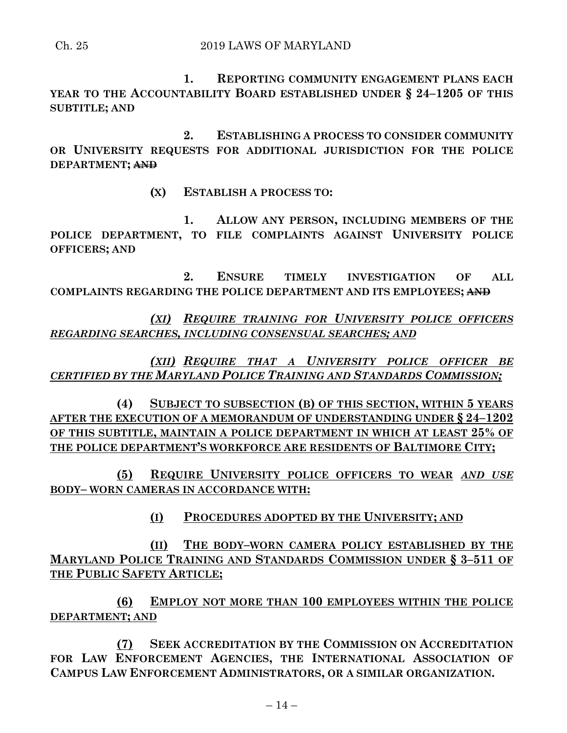**1. REPORTING COMMUNITY ENGAGEMENT PLANS EACH YEAR TO THE ACCOUNTABILITY BOARD ESTABLISHED UNDER § 24–1205 OF THIS SUBTITLE; AND**

**2. ESTABLISHING A PROCESS TO CONSIDER COMMUNITY OR UNIVERSITY REQUESTS FOR ADDITIONAL JURISDICTION FOR THE POLICE DEPARTMENT; AND**

**(X) ESTABLISH A PROCESS TO:**

**1. ALLOW ANY PERSON, INCLUDING MEMBERS OF THE POLICE DEPARTMENT, TO FILE COMPLAINTS AGAINST UNIVERSITY POLICE OFFICERS; AND** 

**2. ENSURE TIMELY INVESTIGATION OF ALL COMPLAINTS REGARDING THE POLICE DEPARTMENT AND ITS EMPLOYEES; AND**

*(XI) REQUIRE TRAINING FOR UNIVERSITY POLICE OFFICERS REGARDING SEARCHES, INCLUDING CONSENSUAL SEARCHES; AND*

*(XII) REQUIRE THAT A UNIVERSITY POLICE OFFICER BE CERTIFIED BY THE MARYLAND POLICE TRAINING AND STANDARDS COMMISSION;*

**(4) SUBJECT TO SUBSECTION (B) OF THIS SECTION, WITHIN 5 YEARS AFTER THE EXECUTION OF A MEMORANDUM OF UNDERSTANDING UNDER § 24–1202 OF THIS SUBTITLE, MAINTAIN A POLICE DEPARTMENT IN WHICH AT LEAST 25% OF THE POLICE DEPARTMENT'S WORKFORCE ARE RESIDENTS OF BALTIMORE CITY;**

**(5) REQUIRE UNIVERSITY POLICE OFFICERS TO WEAR** *AND USE* **BODY– WORN CAMERAS IN ACCORDANCE WITH:**

**(I) PROCEDURES ADOPTED BY THE UNIVERSITY; AND**

**(II) THE BODY–WORN CAMERA POLICY ESTABLISHED BY THE MARYLAND POLICE TRAINING AND STANDARDS COMMISSION UNDER § 3–511 OF THE PUBLIC SAFETY ARTICLE;**

**(6) EMPLOY NOT MORE THAN 100 EMPLOYEES WITHIN THE POLICE DEPARTMENT; AND**

**(7) SEEK ACCREDITATION BY THE COMMISSION ON ACCREDITATION FOR LAW ENFORCEMENT AGENCIES, THE INTERNATIONAL ASSOCIATION OF CAMPUS LAW ENFORCEMENT ADMINISTRATORS, OR A SIMILAR ORGANIZATION.**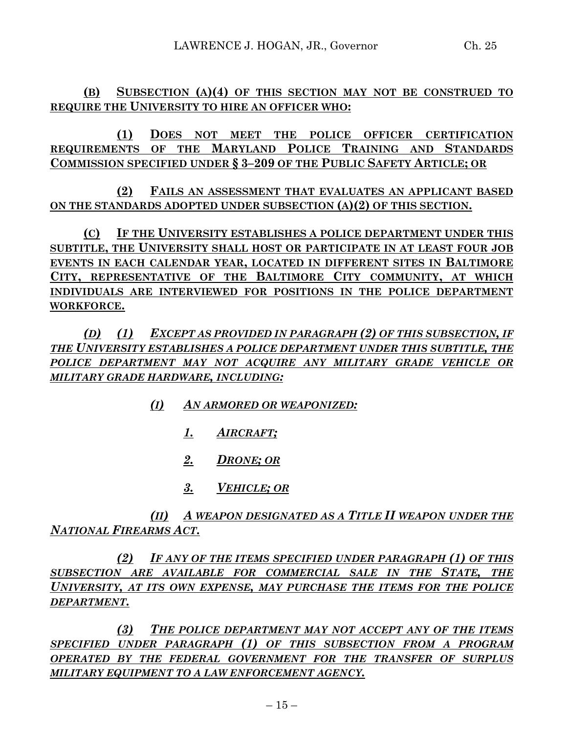**(B) SUBSECTION (A)(4) OF THIS SECTION MAY NOT BE CONSTRUED TO REQUIRE THE UNIVERSITY TO HIRE AN OFFICER WHO:**

**(1) DOES NOT MEET THE POLICE OFFICER CERTIFICATION REQUIREMENTS OF THE MARYLAND POLICE TRAINING AND STANDARDS COMMISSION SPECIFIED UNDER § 3–209 OF THE PUBLIC SAFETY ARTICLE; OR**

**(2) FAILS AN ASSESSMENT THAT EVALUATES AN APPLICANT BASED ON THE STANDARDS ADOPTED UNDER SUBSECTION (A)(2) OF THIS SECTION.**

**(C) IF THE UNIVERSITY ESTABLISHES A POLICE DEPARTMENT UNDER THIS SUBTITLE, THE UNIVERSITY SHALL HOST OR PARTICIPATE IN AT LEAST FOUR JOB EVENTS IN EACH CALENDAR YEAR, LOCATED IN DIFFERENT SITES IN BALTIMORE CITY, REPRESENTATIVE OF THE BALTIMORE CITY COMMUNITY, AT WHICH INDIVIDUALS ARE INTERVIEWED FOR POSITIONS IN THE POLICE DEPARTMENT WORKFORCE.**

*(D) (1) EXCEPT AS PROVIDED IN PARAGRAPH (2) OF THIS SUBSECTION, IF THE UNIVERSITY ESTABLISHES A POLICE DEPARTMENT UNDER THIS SUBTITLE, THE POLICE DEPARTMENT MAY NOT ACQUIRE ANY MILITARY GRADE VEHICLE OR MILITARY GRADE HARDWARE, INCLUDING:*

- *(I) AN ARMORED OR WEAPONIZED:*
	- *1. AIRCRAFT;*
	- *2. DRONE; OR*
	- *3. VEHICLE; OR*

*(II) A WEAPON DESIGNATED AS A TITLE II WEAPON UNDER THE NATIONAL FIREARMS ACT.*

*(2) IF ANY OF THE ITEMS SPECIFIED UNDER PARAGRAPH (1) OF THIS SUBSECTION ARE AVAILABLE FOR COMMERCIAL SALE IN THE STATE, THE UNIVERSITY, AT ITS OWN EXPENSE, MAY PURCHASE THE ITEMS FOR THE POLICE DEPARTMENT.*

*(3) THE POLICE DEPARTMENT MAY NOT ACCEPT ANY OF THE ITEMS SPECIFIED UNDER PARAGRAPH (1) OF THIS SUBSECTION FROM A PROGRAM OPERATED BY THE FEDERAL GOVERNMENT FOR THE TRANSFER OF SURPLUS MILITARY EQUIPMENT TO A LAW ENFORCEMENT AGENCY.*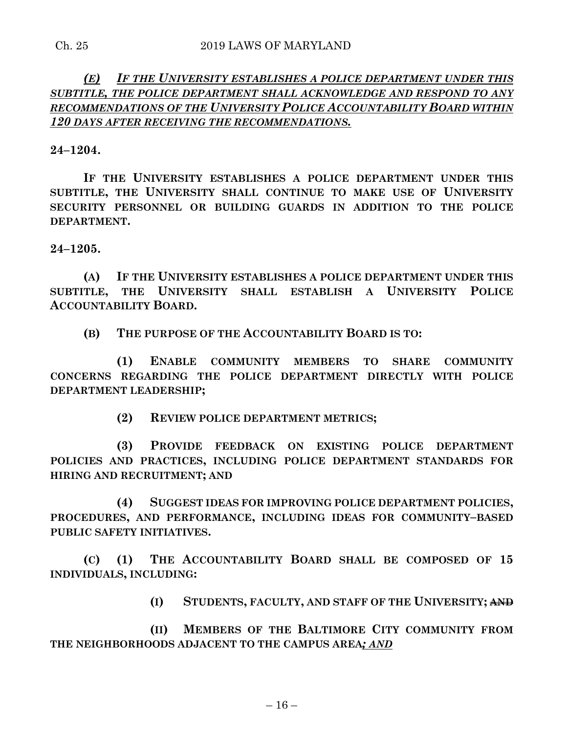## *(E) IF THE UNIVERSITY ESTABLISHES A POLICE DEPARTMENT UNDER THIS SUBTITLE, THE POLICE DEPARTMENT SHALL ACKNOWLEDGE AND RESPOND TO ANY RECOMMENDATIONS OF THE UNIVERSITY POLICE ACCOUNTABILITY BOARD WITHIN 120 DAYS AFTER RECEIVING THE RECOMMENDATIONS.*

**24–1204.**

**IF THE UNIVERSITY ESTABLISHES A POLICE DEPARTMENT UNDER THIS SUBTITLE, THE UNIVERSITY SHALL CONTINUE TO MAKE USE OF UNIVERSITY SECURITY PERSONNEL OR BUILDING GUARDS IN ADDITION TO THE POLICE DEPARTMENT.**

**24–1205.**

**(A) IF THE UNIVERSITY ESTABLISHES A POLICE DEPARTMENT UNDER THIS SUBTITLE, THE UNIVERSITY SHALL ESTABLISH A UNIVERSITY POLICE ACCOUNTABILITY BOARD.**

**(B) THE PURPOSE OF THE ACCOUNTABILITY BOARD IS TO:**

**(1) ENABLE COMMUNITY MEMBERS TO SHARE COMMUNITY CONCERNS REGARDING THE POLICE DEPARTMENT DIRECTLY WITH POLICE DEPARTMENT LEADERSHIP;**

**(2) REVIEW POLICE DEPARTMENT METRICS;**

**(3) PROVIDE FEEDBACK ON EXISTING POLICE DEPARTMENT POLICIES AND PRACTICES, INCLUDING POLICE DEPARTMENT STANDARDS FOR HIRING AND RECRUITMENT; AND**

**(4) SUGGEST IDEAS FOR IMPROVING POLICE DEPARTMENT POLICIES, PROCEDURES, AND PERFORMANCE, INCLUDING IDEAS FOR COMMUNITY–BASED PUBLIC SAFETY INITIATIVES.**

**(C) (1) THE ACCOUNTABILITY BOARD SHALL BE COMPOSED OF 15 INDIVIDUALS, INCLUDING:**

**(I) STUDENTS, FACULTY, AND STAFF OF THE UNIVERSITY; AND**

**(II) MEMBERS OF THE BALTIMORE CITY COMMUNITY FROM THE NEIGHBORHOODS ADJACENT TO THE CAMPUS AREA***; AND*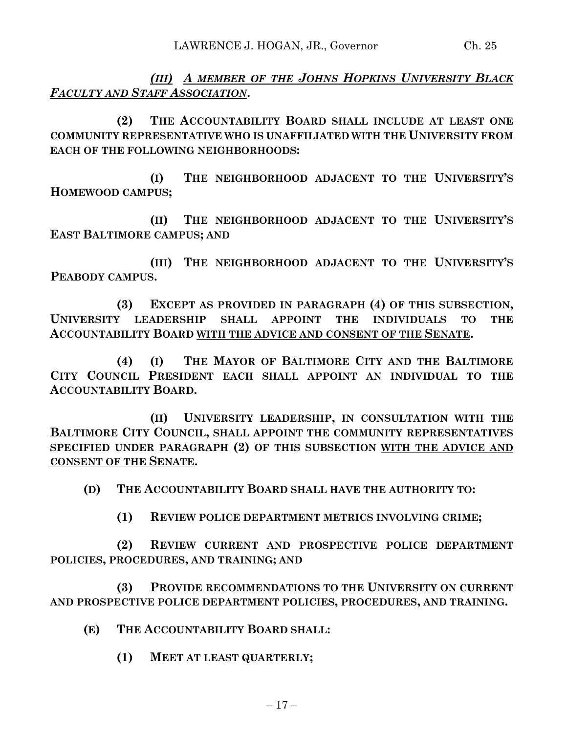*(III) A MEMBER OF THE JOHNS HOPKINS UNIVERSITY BLACK FACULTY AND STAFF ASSOCIATION***.**

**(2) THE ACCOUNTABILITY BOARD SHALL INCLUDE AT LEAST ONE COMMUNITY REPRESENTATIVE WHO IS UNAFFILIATED WITH THE UNIVERSITY FROM EACH OF THE FOLLOWING NEIGHBORHOODS:**

**(I) THE NEIGHBORHOOD ADJACENT TO THE UNIVERSITY'S HOMEWOOD CAMPUS;**

**(II) THE NEIGHBORHOOD ADJACENT TO THE UNIVERSITY'S EAST BALTIMORE CAMPUS; AND**

**(III) THE NEIGHBORHOOD ADJACENT TO THE UNIVERSITY'S PEABODY CAMPUS.**

**(3) EXCEPT AS PROVIDED IN PARAGRAPH (4) OF THIS SUBSECTION, UNIVERSITY LEADERSHIP SHALL APPOINT THE INDIVIDUALS TO THE ACCOUNTABILITY BOARD WITH THE ADVICE AND CONSENT OF THE SENATE.**

**(4) (I) THE MAYOR OF BALTIMORE CITY AND THE BALTIMORE CITY COUNCIL PRESIDENT EACH SHALL APPOINT AN INDIVIDUAL TO THE ACCOUNTABILITY BOARD.**

**(II) UNIVERSITY LEADERSHIP, IN CONSULTATION WITH THE BALTIMORE CITY COUNCIL, SHALL APPOINT THE COMMUNITY REPRESENTATIVES SPECIFIED UNDER PARAGRAPH (2) OF THIS SUBSECTION WITH THE ADVICE AND CONSENT OF THE SENATE.**

**(D) THE ACCOUNTABILITY BOARD SHALL HAVE THE AUTHORITY TO:**

**(1) REVIEW POLICE DEPARTMENT METRICS INVOLVING CRIME;**

**(2) REVIEW CURRENT AND PROSPECTIVE POLICE DEPARTMENT POLICIES, PROCEDURES, AND TRAINING; AND**

**(3) PROVIDE RECOMMENDATIONS TO THE UNIVERSITY ON CURRENT AND PROSPECTIVE POLICE DEPARTMENT POLICIES, PROCEDURES, AND TRAINING.**

- **(E) THE ACCOUNTABILITY BOARD SHALL:**
	- **(1) MEET AT LEAST QUARTERLY;**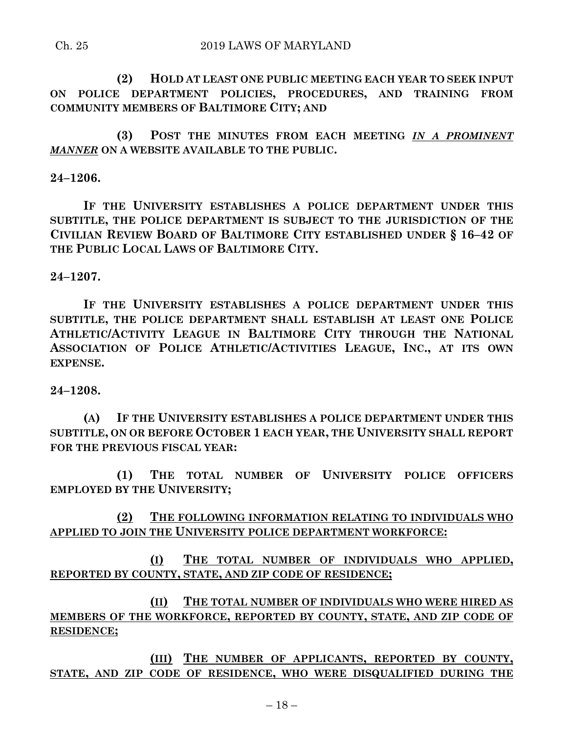#### Ch. 25 2019 LAWS OF MARYLAND

**(2) HOLD AT LEAST ONE PUBLIC MEETING EACH YEAR TO SEEK INPUT ON POLICE DEPARTMENT POLICIES, PROCEDURES, AND TRAINING FROM COMMUNITY MEMBERS OF BALTIMORE CITY; AND**

**(3) POST THE MINUTES FROM EACH MEETING** *IN A PROMINENT MANNER* **ON A WEBSITE AVAILABLE TO THE PUBLIC.**

### **24–1206.**

**IF THE UNIVERSITY ESTABLISHES A POLICE DEPARTMENT UNDER THIS SUBTITLE, THE POLICE DEPARTMENT IS SUBJECT TO THE JURISDICTION OF THE CIVILIAN REVIEW BOARD OF BALTIMORE CITY ESTABLISHED UNDER § 16–42 OF THE PUBLIC LOCAL LAWS OF BALTIMORE CITY.**

### **24–1207.**

**IF THE UNIVERSITY ESTABLISHES A POLICE DEPARTMENT UNDER THIS SUBTITLE, THE POLICE DEPARTMENT SHALL ESTABLISH AT LEAST ONE POLICE ATHLETIC/ACTIVITY LEAGUE IN BALTIMORE CITY THROUGH THE NATIONAL ASSOCIATION OF POLICE ATHLETIC/ACTIVITIES LEAGUE, INC., AT ITS OWN EXPENSE.**

### **24–1208.**

**(A) IF THE UNIVERSITY ESTABLISHES A POLICE DEPARTMENT UNDER THIS SUBTITLE, ON OR BEFORE OCTOBER 1 EACH YEAR, THE UNIVERSITY SHALL REPORT FOR THE PREVIOUS FISCAL YEAR:**

**(1) THE TOTAL NUMBER OF UNIVERSITY POLICE OFFICERS EMPLOYED BY THE UNIVERSITY;**

**(2) THE FOLLOWING INFORMATION RELATING TO INDIVIDUALS WHO APPLIED TO JOIN THE UNIVERSITY POLICE DEPARTMENT WORKFORCE:**

**(I) THE TOTAL NUMBER OF INDIVIDUALS WHO APPLIED, REPORTED BY COUNTY, STATE, AND ZIP CODE OF RESIDENCE;**

**(II) THE TOTAL NUMBER OF INDIVIDUALS WHO WERE HIRED AS MEMBERS OF THE WORKFORCE, REPORTED BY COUNTY, STATE, AND ZIP CODE OF RESIDENCE;**

**(III) THE NUMBER OF APPLICANTS, REPORTED BY COUNTY, STATE, AND ZIP CODE OF RESIDENCE, WHO WERE DISQUALIFIED DURING THE**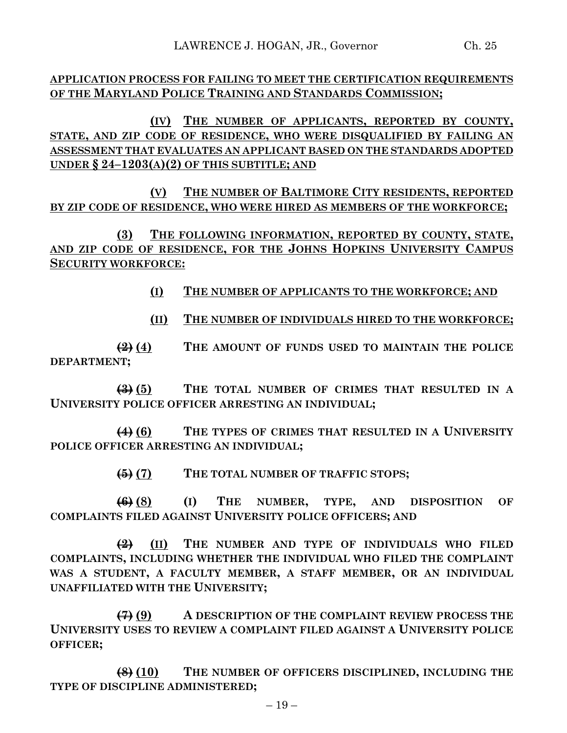**(IV) THE NUMBER OF APPLICANTS, REPORTED BY COUNTY, STATE, AND ZIP CODE OF RESIDENCE, WHO WERE DISQUALIFIED BY FAILING AN ASSESSMENT THAT EVALUATES AN APPLICANT BASED ON THE STANDARDS ADOPTED UNDER § 24–1203(A)(2) OF THIS SUBTITLE; AND**

**(V) THE NUMBER OF BALTIMORE CITY RESIDENTS, REPORTED BY ZIP CODE OF RESIDENCE, WHO WERE HIRED AS MEMBERS OF THE WORKFORCE;**

**(3) THE FOLLOWING INFORMATION, REPORTED BY COUNTY, STATE, AND ZIP CODE OF RESIDENCE, FOR THE JOHNS HOPKINS UNIVERSITY CAMPUS SECURITY WORKFORCE:**

**(I) THE NUMBER OF APPLICANTS TO THE WORKFORCE; AND**

**(II) THE NUMBER OF INDIVIDUALS HIRED TO THE WORKFORCE;**

**(2) (4) THE AMOUNT OF FUNDS USED TO MAINTAIN THE POLICE DEPARTMENT;**

**(3) (5) THE TOTAL NUMBER OF CRIMES THAT RESULTED IN A UNIVERSITY POLICE OFFICER ARRESTING AN INDIVIDUAL;**

**(4) (6) THE TYPES OF CRIMES THAT RESULTED IN A UNIVERSITY POLICE OFFICER ARRESTING AN INDIVIDUAL;**

**(5) (7) THE TOTAL NUMBER OF TRAFFIC STOPS;**

**(6) (8) (I) THE NUMBER, TYPE, AND DISPOSITION OF COMPLAINTS FILED AGAINST UNIVERSITY POLICE OFFICERS; AND**

**(2) (II) THE NUMBER AND TYPE OF INDIVIDUALS WHO FILED COMPLAINTS, INCLUDING WHETHER THE INDIVIDUAL WHO FILED THE COMPLAINT WAS A STUDENT, A FACULTY MEMBER, A STAFF MEMBER, OR AN INDIVIDUAL UNAFFILIATED WITH THE UNIVERSITY;**

**(7) (9) A DESCRIPTION OF THE COMPLAINT REVIEW PROCESS THE UNIVERSITY USES TO REVIEW A COMPLAINT FILED AGAINST A UNIVERSITY POLICE OFFICER;**

**(8) (10) THE NUMBER OF OFFICERS DISCIPLINED, INCLUDING THE TYPE OF DISCIPLINE ADMINISTERED;**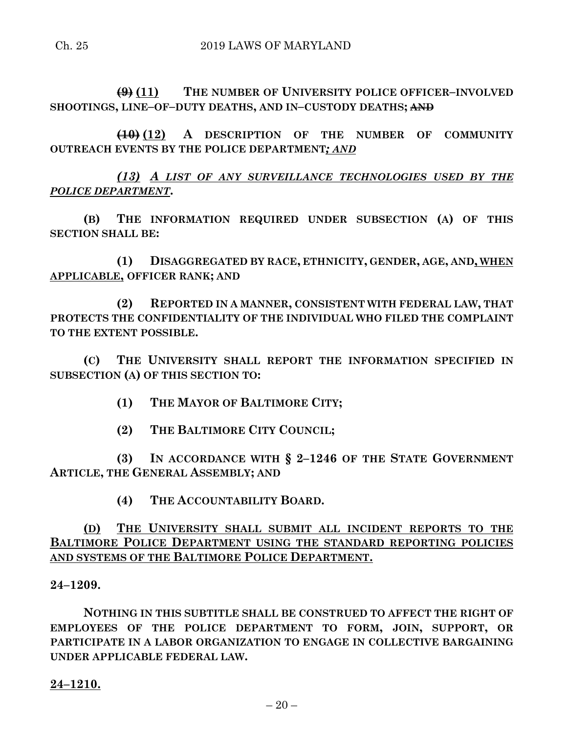**(9) (11) THE NUMBER OF UNIVERSITY POLICE OFFICER–INVOLVED SHOOTINGS, LINE–OF–DUTY DEATHS, AND IN–CUSTODY DEATHS; AND**

**(10) (12) A DESCRIPTION OF THE NUMBER OF COMMUNITY OUTREACH EVENTS BY THE POLICE DEPARTMENT***; AND*

*(13) A LIST OF ANY SURVEILLANCE TECHNOLOGIES USED BY THE POLICE DEPARTMENT***.**

**(B) THE INFORMATION REQUIRED UNDER SUBSECTION (A) OF THIS SECTION SHALL BE:**

**(1) DISAGGREGATED BY RACE, ETHNICITY, GENDER, AGE, AND, WHEN APPLICABLE, OFFICER RANK; AND**

**(2) REPORTED IN A MANNER, CONSISTENT WITH FEDERAL LAW, THAT PROTECTS THE CONFIDENTIALITY OF THE INDIVIDUAL WHO FILED THE COMPLAINT TO THE EXTENT POSSIBLE.**

**(C) THE UNIVERSITY SHALL REPORT THE INFORMATION SPECIFIED IN SUBSECTION (A) OF THIS SECTION TO:**

**(1) THE MAYOR OF BALTIMORE CITY;**

**(2) THE BALTIMORE CITY COUNCIL;**

**(3) IN ACCORDANCE WITH § 2–1246 OF THE STATE GOVERNMENT ARTICLE, THE GENERAL ASSEMBLY; AND**

**(4) THE ACCOUNTABILITY BOARD.**

# **(D) THE UNIVERSITY SHALL SUBMIT ALL INCIDENT REPORTS TO THE BALTIMORE POLICE DEPARTMENT USING THE STANDARD REPORTING POLICIES AND SYSTEMS OF THE BALTIMORE POLICE DEPARTMENT.**

**24–1209.**

**NOTHING IN THIS SUBTITLE SHALL BE CONSTRUED TO AFFECT THE RIGHT OF EMPLOYEES OF THE POLICE DEPARTMENT TO FORM, JOIN, SUPPORT, OR PARTICIPATE IN A LABOR ORGANIZATION TO ENGAGE IN COLLECTIVE BARGAINING UNDER APPLICABLE FEDERAL LAW.**

### **24–1210.**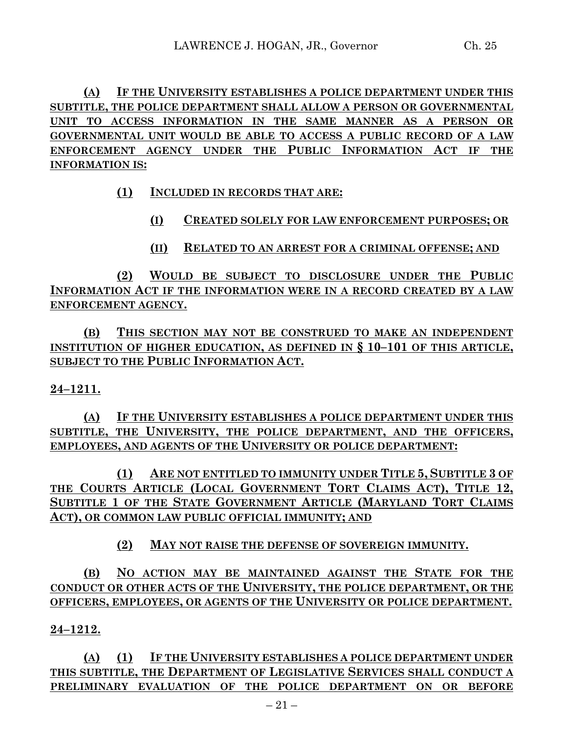**(A) IF THE UNIVERSITY ESTABLISHES A POLICE DEPARTMENT UNDER THIS SUBTITLE, THE POLICE DEPARTMENT SHALL ALLOW A PERSON OR GOVERNMENTAL UNIT TO ACCESS INFORMATION IN THE SAME MANNER AS A PERSON OR GOVERNMENTAL UNIT WOULD BE ABLE TO ACCESS A PUBLIC RECORD OF A LAW ENFORCEMENT AGENCY UNDER THE PUBLIC INFORMATION ACT IF THE INFORMATION IS:**

**(1) INCLUDED IN RECORDS THAT ARE:**

**(I) CREATED SOLELY FOR LAW ENFORCEMENT PURPOSES; OR**

**(II) RELATED TO AN ARREST FOR A CRIMINAL OFFENSE; AND**

**(2) WOULD BE SUBJECT TO DISCLOSURE UNDER THE PUBLIC INFORMATION ACT IF THE INFORMATION WERE IN A RECORD CREATED BY A LAW ENFORCEMENT AGENCY.**

**(B) THIS SECTION MAY NOT BE CONSTRUED TO MAKE AN INDEPENDENT INSTITUTION OF HIGHER EDUCATION, AS DEFINED IN § 10–101 OF THIS ARTICLE, SUBJECT TO THE PUBLIC INFORMATION ACT.**

## **24–1211.**

**(A) IF THE UNIVERSITY ESTABLISHES A POLICE DEPARTMENT UNDER THIS SUBTITLE, THE UNIVERSITY, THE POLICE DEPARTMENT, AND THE OFFICERS, EMPLOYEES, AND AGENTS OF THE UNIVERSITY OR POLICE DEPARTMENT:**

**(1) ARE NOT ENTITLED TO IMMUNITY UNDER TITLE 5, SUBTITLE 3 OF THE COURTS ARTICLE (LOCAL GOVERNMENT TORT CLAIMS ACT), TITLE 12, SUBTITLE 1 OF THE STATE GOVERNMENT ARTICLE (MARYLAND TORT CLAIMS ACT), OR COMMON LAW PUBLIC OFFICIAL IMMUNITY; AND**

**(2) MAY NOT RAISE THE DEFENSE OF SOVEREIGN IMMUNITY.**

**(B) NO ACTION MAY BE MAINTAINED AGAINST THE STATE FOR THE CONDUCT OR OTHER ACTS OF THE UNIVERSITY, THE POLICE DEPARTMENT, OR THE OFFICERS, EMPLOYEES, OR AGENTS OF THE UNIVERSITY OR POLICE DEPARTMENT.**

## **24–1212.**

**(A) (1) IF THE UNIVERSITY ESTABLISHES A POLICE DEPARTMENT UNDER THIS SUBTITLE, THE DEPARTMENT OF LEGISLATIVE SERVICES SHALL CONDUCT A PRELIMINARY EVALUATION OF THE POLICE DEPARTMENT ON OR BEFORE**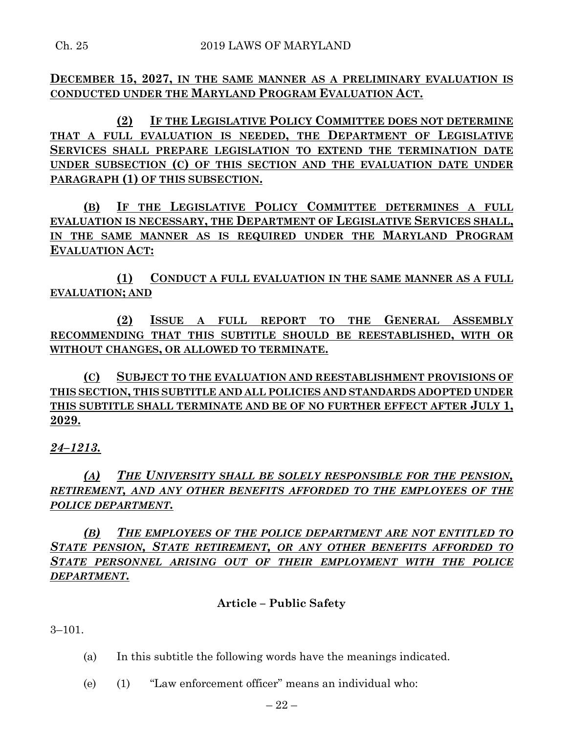**DECEMBER 15, 2027, IN THE SAME MANNER AS A PRELIMINARY EVALUATION IS CONDUCTED UNDER THE MARYLAND PROGRAM EVALUATION ACT.**

**(2) IF THE LEGISLATIVE POLICY COMMITTEE DOES NOT DETERMINE THAT A FULL EVALUATION IS NEEDED, THE DEPARTMENT OF LEGISLATIVE SERVICES SHALL PREPARE LEGISLATION TO EXTEND THE TERMINATION DATE UNDER SUBSECTION (C) OF THIS SECTION AND THE EVALUATION DATE UNDER PARAGRAPH (1) OF THIS SUBSECTION.**

**(B) IF THE LEGISLATIVE POLICY COMMITTEE DETERMINES A FULL EVALUATION IS NECESSARY, THE DEPARTMENT OF LEGISLATIVE SERVICES SHALL, IN THE SAME MANNER AS IS REQUIRED UNDER THE MARYLAND PROGRAM EVALUATION ACT:**

**(1) CONDUCT A FULL EVALUATION IN THE SAME MANNER AS A FULL EVALUATION; AND**

**(2) ISSUE A FULL REPORT TO THE GENERAL ASSEMBLY RECOMMENDING THAT THIS SUBTITLE SHOULD BE REESTABLISHED, WITH OR WITHOUT CHANGES, OR ALLOWED TO TERMINATE.**

**(C) SUBJECT TO THE EVALUATION AND REESTABLISHMENT PROVISIONS OF THIS SECTION, THIS SUBTITLE AND ALL POLICIES AND STANDARDS ADOPTED UNDER THIS SUBTITLE SHALL TERMINATE AND BE OF NO FURTHER EFFECT AFTER JULY 1, 2029.**

## *24–1213.*

*(A) THE UNIVERSITY SHALL BE SOLELY RESPONSIBLE FOR THE PENSION, RETIREMENT, AND ANY OTHER BENEFITS AFFORDED TO THE EMPLOYEES OF THE POLICE DEPARTMENT.*

*(B) THE EMPLOYEES OF THE POLICE DEPARTMENT ARE NOT ENTITLED TO STATE PENSION, STATE RETIREMENT, OR ANY OTHER BENEFITS AFFORDED TO STATE PERSONNEL ARISING OUT OF THEIR EMPLOYMENT WITH THE POLICE DEPARTMENT.*

## **Article – Public Safety**

3–101.

- (a) In this subtitle the following words have the meanings indicated.
- (e) (1) "Law enforcement officer" means an individual who: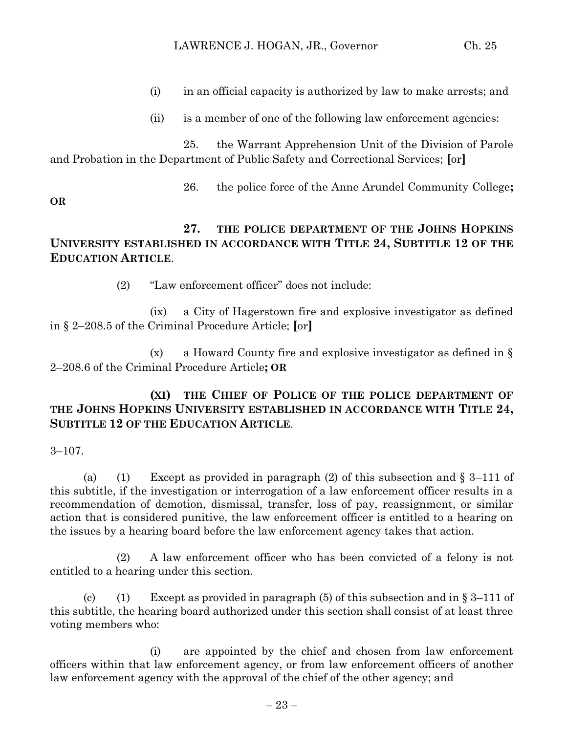- (i) in an official capacity is authorized by law to make arrests; and
- (ii) is a member of one of the following law enforcement agencies:

25. the Warrant Apprehension Unit of the Division of Parole and Probation in the Department of Public Safety and Correctional Services; **[**or**]**

26. the police force of the Anne Arundel Community College**;**

**OR**

- **27. THE POLICE DEPARTMENT OF THE JOHNS HOPKINS UNIVERSITY ESTABLISHED IN ACCORDANCE WITH TITLE 24, SUBTITLE 12 OF THE EDUCATION ARTICLE**.
	- (2) "Law enforcement officer" does not include:

(ix) a City of Hagerstown fire and explosive investigator as defined in § 2–208.5 of the Criminal Procedure Article; **[**or**]**

(x) a Howard County fire and explosive investigator as defined in § 2–208.6 of the Criminal Procedure Article**; OR**

## **(XI) THE CHIEF OF POLICE OF THE POLICE DEPARTMENT OF THE JOHNS HOPKINS UNIVERSITY ESTABLISHED IN ACCORDANCE WITH TITLE 24, SUBTITLE 12 OF THE EDUCATION ARTICLE**.

3–107.

(a) (1) Except as provided in paragraph (2) of this subsection and  $\S 3-111$  of this subtitle, if the investigation or interrogation of a law enforcement officer results in a recommendation of demotion, dismissal, transfer, loss of pay, reassignment, or similar action that is considered punitive, the law enforcement officer is entitled to a hearing on the issues by a hearing board before the law enforcement agency takes that action.

(2) A law enforcement officer who has been convicted of a felony is not entitled to a hearing under this section.

(c) (1) Except as provided in paragraph (5) of this subsection and in  $\S 3-111$  of this subtitle, the hearing board authorized under this section shall consist of at least three voting members who:

(i) are appointed by the chief and chosen from law enforcement officers within that law enforcement agency, or from law enforcement officers of another law enforcement agency with the approval of the chief of the other agency; and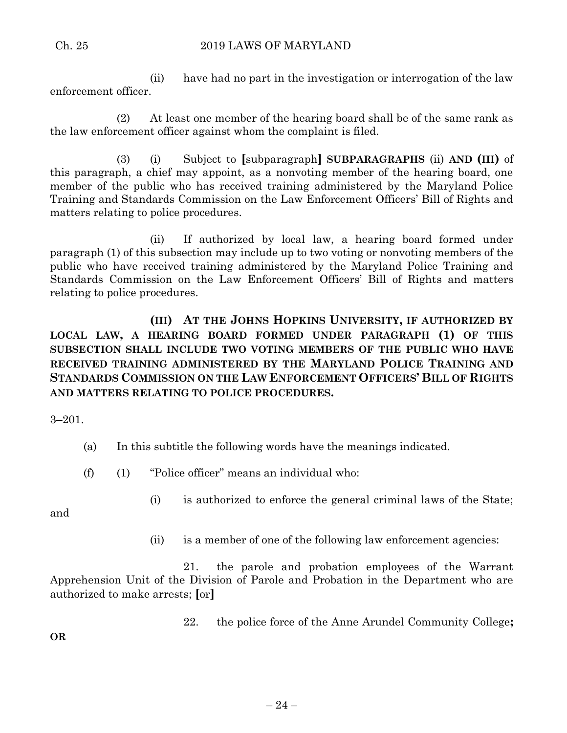(ii) have had no part in the investigation or interrogation of the law enforcement officer.

(2) At least one member of the hearing board shall be of the same rank as the law enforcement officer against whom the complaint is filed.

(3) (i) Subject to **[**subparagraph**] SUBPARAGRAPHS** (ii) **AND (III)** of this paragraph, a chief may appoint, as a nonvoting member of the hearing board, one member of the public who has received training administered by the Maryland Police Training and Standards Commission on the Law Enforcement Officers' Bill of Rights and matters relating to police procedures.

(ii) If authorized by local law, a hearing board formed under paragraph (1) of this subsection may include up to two voting or nonvoting members of the public who have received training administered by the Maryland Police Training and Standards Commission on the Law Enforcement Officers' Bill of Rights and matters relating to police procedures.

**(III) AT THE JOHNS HOPKINS UNIVERSITY, IF AUTHORIZED BY LOCAL LAW, A HEARING BOARD FORMED UNDER PARAGRAPH (1) OF THIS SUBSECTION SHALL INCLUDE TWO VOTING MEMBERS OF THE PUBLIC WHO HAVE RECEIVED TRAINING ADMINISTERED BY THE MARYLAND POLICE TRAINING AND STANDARDS COMMISSION ON THE LAW ENFORCEMENT OFFICERS' BILL OF RIGHTS AND MATTERS RELATING TO POLICE PROCEDURES.**

3–201.

(a) In this subtitle the following words have the meanings indicated.

(f) (1) "Police officer" means an individual who:

and

**OR**

- (i) is authorized to enforce the general criminal laws of the State;
- (ii) is a member of one of the following law enforcement agencies:

21. the parole and probation employees of the Warrant Apprehension Unit of the Division of Parole and Probation in the Department who are authorized to make arrests; **[**or**]**

22. the police force of the Anne Arundel Community College**;**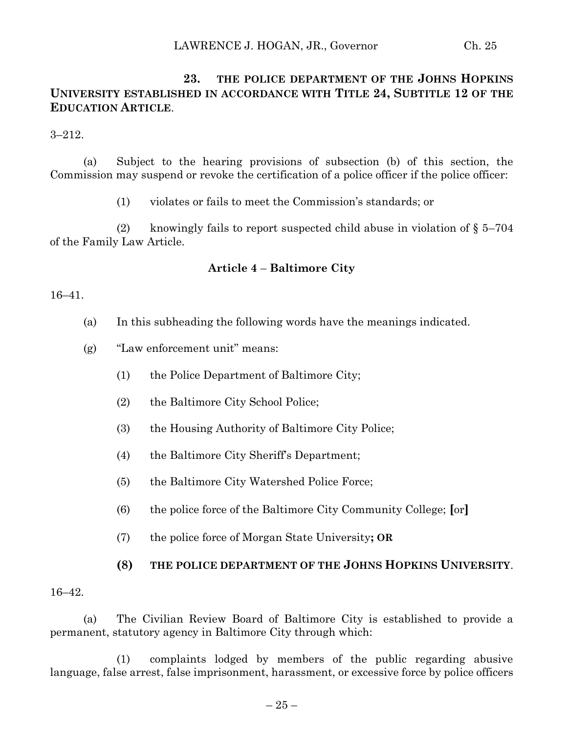## **23. THE POLICE DEPARTMENT OF THE JOHNS HOPKINS UNIVERSITY ESTABLISHED IN ACCORDANCE WITH TITLE 24, SUBTITLE 12 OF THE EDUCATION ARTICLE**.

3–212.

(a) Subject to the hearing provisions of subsection (b) of this section, the Commission may suspend or revoke the certification of a police officer if the police officer:

(1) violates or fails to meet the Commission's standards; or

(2) knowingly fails to report suspected child abuse in violation of  $\S 5-704$ of the Family Law Article.

### **Article 4** – **Baltimore City**

#### 16–41.

- (a) In this subheading the following words have the meanings indicated.
- (g) "Law enforcement unit" means:
	- (1) the Police Department of Baltimore City;
	- (2) the Baltimore City School Police;
	- (3) the Housing Authority of Baltimore City Police;
	- (4) the Baltimore City Sheriff's Department;
	- (5) the Baltimore City Watershed Police Force;
	- (6) the police force of the Baltimore City Community College; **[**or**]**
	- (7) the police force of Morgan State University**; OR**

#### **(8) THE POLICE DEPARTMENT OF THE JOHNS HOPKINS UNIVERSITY**.

#### 16–42.

(a) The Civilian Review Board of Baltimore City is established to provide a permanent, statutory agency in Baltimore City through which:

(1) complaints lodged by members of the public regarding abusive language, false arrest, false imprisonment, harassment, or excessive force by police officers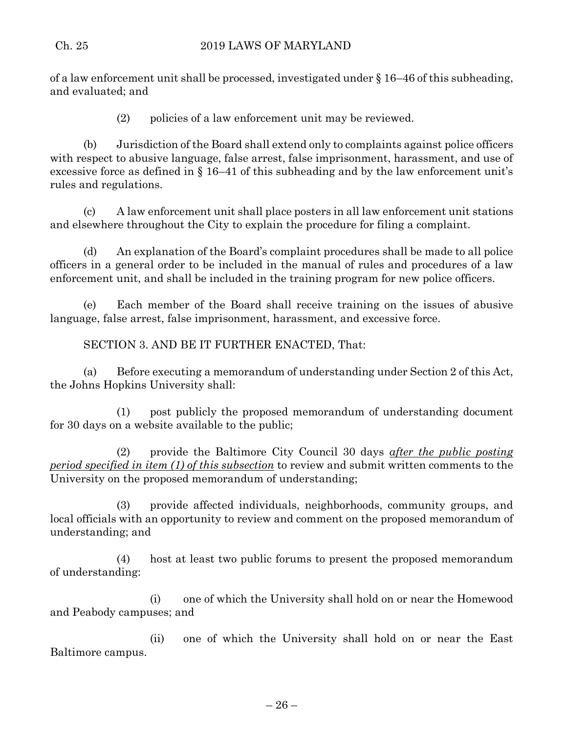of a law enforcement unit shall be processed, investigated under § 16–46 of this subheading, and evaluated; and

(2) policies of a law enforcement unit may be reviewed.

(b) Jurisdiction of the Board shall extend only to complaints against police officers with respect to abusive language, false arrest, false imprisonment, harassment, and use of excessive force as defined in  $\S 16-41$  of this subheading and by the law enforcement unit's rules and regulations.

(c) A law enforcement unit shall place posters in all law enforcement unit stations and elsewhere throughout the City to explain the procedure for filing a complaint.

(d) An explanation of the Board's complaint procedures shall be made to all police officers in a general order to be included in the manual of rules and procedures of a law enforcement unit, and shall be included in the training program for new police officers.

(e) Each member of the Board shall receive training on the issues of abusive language, false arrest, false imprisonment, harassment, and excessive force.

SECTION 3. AND BE IT FURTHER ENACTED, That:

(a) Before executing a memorandum of understanding under Section 2 of this Act, the Johns Hopkins University shall:

(1) post publicly the proposed memorandum of understanding document for 30 days on a website available to the public;

(2) provide the Baltimore City Council 30 days *after the public posting period specified in item (1) of this subsection* to review and submit written comments to the University on the proposed memorandum of understanding;

(3) provide affected individuals, neighborhoods, community groups, and local officials with an opportunity to review and comment on the proposed memorandum of understanding; and

(4) host at least two public forums to present the proposed memorandum of understanding:

(i) one of which the University shall hold on or near the Homewood and Peabody campuses; and

(ii) one of which the University shall hold on or near the East Baltimore campus.